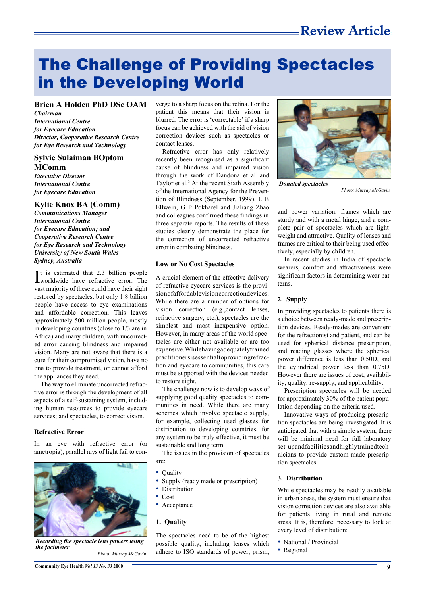# The Challenge of Providing Spectacles in the Developing World

**Brien A Holden PhD DSc OAM**

*Chairman International Centre for Eyecare Education Director, Cooperative Research Centre for Eye Research and Technology*

### **Sylvie Sulaiman BOptom MComm**

*Executive Director International Centre for Eyecare Education*

#### **Kylie Knox BA (Comm)**

*Communications Manager International Centre for Eyecare Education; and Cooperative Research Centre for Eye Research and Technology University of New South Wales Sydney, Australia*

It is estimated that 2.3 billion people<br>Iworldwide have refractive error. The worldwide have refractive error. The vast majority of these could have their sight restored by spectacles, but only 1.8 billion people have access to eye examinations and affordable correction. This leaves approximately 500 million people, mostly in developing countries (close to 1/3 are in Africa) and many children, with uncorrected error causing blindness and impaired vision. Many are not aware that there is a cure for their compromised vision, have no one to provide treatment, or cannot afford the appliances they need.

The way to eliminate uncorrected refractive error is through the development of all aspects of a self-sustaining system, including human resources to provide eyecare services; and spectacles, to correct vision.

#### **Refractive Error**

In an eye with refractive error (or ametropia), parallel rays of light fail to con-



*Recording the spectacle lens powers using the focimeter*

*Photo: Murray McGavin*

verge to a sharp focus on the retina. For the patient this means that their vision is blurred. The error is 'correctable' if a sharp focus can be achieved with the aid of vision correction devices such as spectacles or contact lenses.

Refractive error has only relatively recently been recognised as a significant cause of blindness and impaired vision through the work of Dandona et al<sup>1</sup> and Taylor et al.<sup>2</sup> At the recent Sixth Assembly of the International Agency for the Prevention of Blindness (September, 1999), L B Ellwein, G P Pokharel and Jialiang Zhao and colleagues confirmed these findings in three separate reports. The results of these studies clearly demonstrate the place for the correction of uncorrected refractive error in combating blindness.

#### **Low or No Cost Spectacles**

A crucial element of the effective delivery of refractive eyecare services is the provisionofaffordablevisioncorrectiondevices. While there are a number of options for vision correction (e.g.,contact lenses, refractive surgery, etc.), spectacles are the simplest and most inexpensive option. However, in many areas of the world spectacles are either not available or are too expensive.Whilehavingadequatelytrained practitionersisessentialtoprovidingrefraction and eyecare to communities, this care must be supported with the devices needed to restore sight.

The challenge now is to develop ways of supplying good quality spectacles to communities in need. While there are many schemes which involve spectacle supply, for example, collecting used glasses for distribution to developing countries, for any system to be truly effective, it must be sustainable and long term.

The issues in the provision of spectacles are:

- **Quality**
- Supply (ready made or prescription)
- Distribution
- Cost
- Acceptance

#### **1. Quality**

The spectacles need to be of the highest possible quality, including lenses which adhere to ISO standards of power, prism,



*Donated spectacles*

*Photo: Murray McGavin*

and power variation; frames which are sturdy and with a metal hinge; and a complete pair of spectacles which are lightweight and attractive. Quality of lenses and frames are critical to their being used effectively, especially by children.

In recent studies in India of spectacle wearers, comfort and attractiveness were significant factors in determining wear patterns.

#### **2. Supply**

In providing spectacles to patients there is a choice between ready-made and prescription devices. Ready-mades are convenient for the refractionist and patient, and can be used for spherical distance prescription, and reading glasses where the spherical power difference is less than 0.50D, and the cylindrical power less than 0.75D. However there are issues of cost, availability, quality, re-supply, and applicability.

Prescription spectacles will be needed for approximately 30% of the patient population depending on the criteria used.

Innovative ways of producing prescription spectacles are being investigated. It is anticipated that with a simple system, there will be minimal need for full laboratory set-upandfacilitiesandhighlytrainedtechnicians to provide custom-made prescription spectacles.

#### **3. Distribution**

While spectacles may be readily available in urban areas, the system must ensure that vision correction devices are also available for patients living in rural and remote areas. It is, therefore, necessary to look at every level of distribution:

- National / Provincial
- Regional